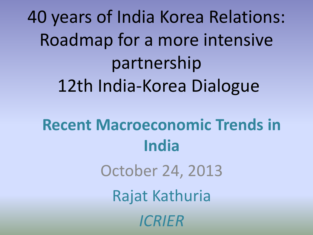40 years of India Korea Relations: Roadmap for a more intensive partnership 12th India-Korea Dialogue **Recent Macroeconomic Trends in India** October 24, 2013 Rajat Kathuria *ICRIER*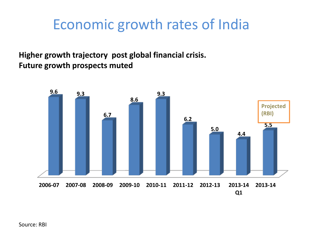## Economic growth rates of India

**Higher growth trajectory post global financial crisis. Future growth prospects muted**

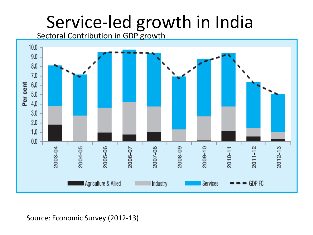# Service-led growth in India

Sectoral Contribution in GDP growth



#### Source: Economic Survey (2012-13)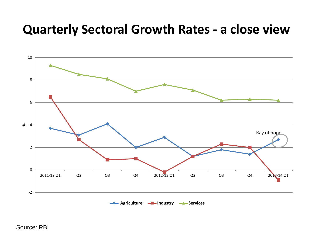### **Quarterly Sectoral Growth Rates - a close view**



Source: RBI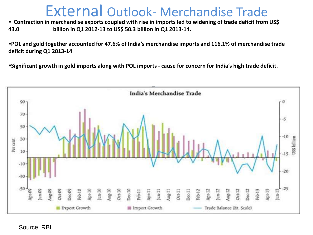### External Outlook- Merchandise Trade

 **Contraction in merchandise exports coupled with rise in imports led to widening of trade deficit from US\$ 43.0 billion in Q1 2012-13 to US\$ 50.3 billion in Q1 2013-14.**

**POL and gold together accounted for 47.6% of India's merchandise imports and 116.1% of merchandise trade deficit during Q1 2013-14** 

**Significant growth in gold imports along with POL imports - cause for concern for India's high trade deficit**.



Source: RBI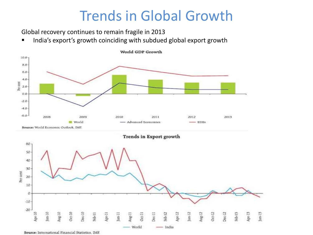### Trends in Global Growth

Apr-12

 $\frac{12}{2}$ 

 $Aug.12$ 

 $Oct-12$ 

 $Dec 12$ 

Reb-13

Apr-13

 $|un-13$ 

Global recovery continues to remain fragile in 2013

**IFM** India's export's growth coinciding with subdued global export growth



Source: International Financial Statistics, IMF.

Aug-10

 $Oct-10$ 

Dec-10

Reb-11

Apr-11

Jun-11

Aug-11

 $O(c+1)$ 

World

Dec-11

Feb-12

India

 $-20$ 

Apr-10

 $\mu$ m-10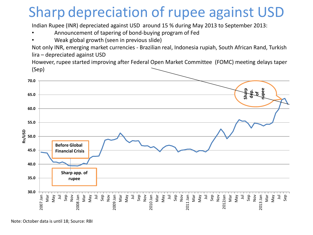## Sharp depreciation of rupee against USD

Indian Rupee (INR) depreciated against USD around 15 % during May 2013 to September 2013:

- Announcement of tapering of bond-buying program of Fed
- Weak global growth (seen in previous slide)

Not only INR, emerging market currencies - Brazilian real, Indonesia rupiah, South African Rand, Turkish lira – depreciated against USD

However, rupee started improving after Federal Open Market Committee (FOMC) meeting delays taper (Sep)



Note: October data is until 18; Source: RBI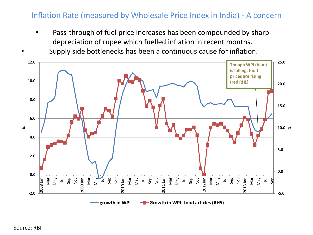#### Inflation Rate (measured by Wholesale Price Index in India) - A concern

- Pass-through of fuel price increases has been compounded by sharp depreciation of rupee which fuelled inflation in recent months.
- Supply side bottlenecks has been a continuous cause for inflation.

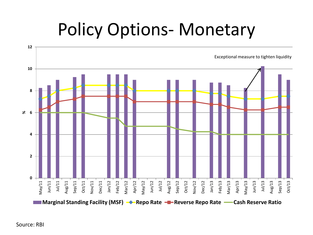# Policy Options- Monetary



Source: RBI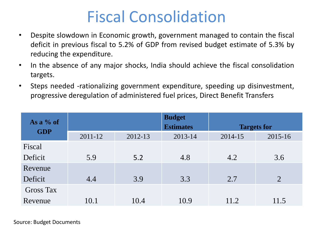## Fiscal Consolidation

- Despite slowdown in Economic growth, government managed to contain the fiscal deficit in previous fiscal to 5.2% of GDP from revised budget estimate of 5.3% by reducing the expenditure.
- In the absence of any major shocks, India should achieve the fiscal consolidation targets.
- Steps needed -rationalizing government expenditure, speeding up disinvestment, progressive deregulation of administered fuel prices, Direct Benefit Transfers

| As a $%$ of      |         |         | <b>Budget</b><br><b>Estimates</b> |         | <b>Targets for</b> |
|------------------|---------|---------|-----------------------------------|---------|--------------------|
| <b>GDP</b>       | 2011-12 | 2012-13 | 2013-14                           | 2014-15 | 2015-16            |
| Fiscal           |         |         |                                   |         |                    |
| Deficit          | 5.9     | 5.2     | 4.8                               | 4.2     | 3.6                |
| Revenue          |         |         |                                   |         |                    |
| Deficit          | 4.4     | 3.9     | 3.3                               | 2.7     | $\overline{2}$     |
| <b>Gross Tax</b> |         |         |                                   |         |                    |
| Revenue          | 10.1    | 10.4    | 10.9                              | 11.2    | 11.5               |

Source: Budget Documents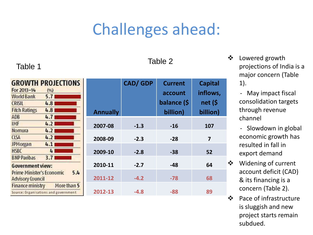## Challenges ahead:

### Table 1 and 1 and 1 and 1 and 1 and 1 and 1 and 1 and 1 and 1 and 1 and 1 and 1 and 1 and 1 and 1 and 1 and 1

| <b>GROWTH PROJECTIONS</b>            |                         |             |
|--------------------------------------|-------------------------|-------------|
| For 2013-14                          | (%)                     |             |
| <b>World Bank</b>                    | $5.7 \square$           |             |
| CRISIL                               | 4.8                     |             |
| <b>Fitch Ratings</b>                 | $4.8 \square$           |             |
| ADB                                  | 4.71                    |             |
| <b>IMF</b>                           | $4.2 \square$           |             |
| Nomura                               | 4.21                    |             |
| <b>CLSA</b>                          | 4.21                    |             |
| JPMorgan                             | 4.1 <sub>1</sub>        |             |
| <b>HSBC</b>                          | $\lfloor \cdot \rfloor$ |             |
| <b>BNP Paribas</b>                   | 3.71                    |             |
| <b>Government view:</b>              |                         |             |
| Prime Minister's Economic            |                         | 5.4         |
| <b>Advisory Council</b>              |                         |             |
| <b>Finance ministry</b>              |                         | More than 5 |
| Source: Organisations and government |                         |             |

|                 | <b>CAD/GDP</b> | <b>Current</b> | <b>Capital</b> |
|-----------------|----------------|----------------|----------------|
|                 |                | account        | inflows,       |
|                 |                | balance (\$    | net (\$        |
| <b>Annually</b> |                | billion)       | billion)       |
| 2007-08         | $-1.3$         | $-16$          | 107            |
| 2008-09         | $-2.3$         | $-28$          | 7              |
| 2009-10         | $-2.8$         | $-38$          | 52             |
| 2010-11         | $-2.7$         | $-48$          | 64             |
| 2011-12         | $-4.2$         | $-78$          | 68             |
| 2012-13         | $-4.8$         | -88            | 89             |

 Lowered growth projections of India is a major concern (Table 1).

> - May impact fiscal consolidation targets through revenue channel

- Slowdown in global economic growth has resulted in fall in export demand
- Widening of current account deficit (CAD) & its financing is a concern (Table 2).
- Pace of infrastructure is sluggish and new project starts remain subdued.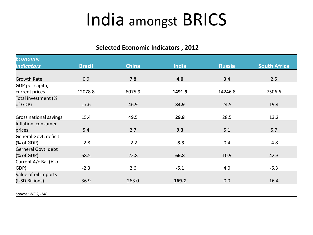# India amongst BRICS

#### **Selected Economic Indicators , 2012**

| <b>Economic</b>                                                                                                                                                                                                                                        |               |              |              |               |                     |
|--------------------------------------------------------------------------------------------------------------------------------------------------------------------------------------------------------------------------------------------------------|---------------|--------------|--------------|---------------|---------------------|
| <b>Indicators</b>                                                                                                                                                                                                                                      | <b>Brazil</b> | <b>China</b> | <b>India</b> | <b>Russia</b> | <b>South Africa</b> |
|                                                                                                                                                                                                                                                        |               |              |              |               |                     |
| <b>Growth Rate</b>                                                                                                                                                                                                                                     | 0.9           | 7.8          | 4.0          | 3.4           | 2.5                 |
| GDP per capita,                                                                                                                                                                                                                                        |               |              |              |               |                     |
| current prices                                                                                                                                                                                                                                         | 12078.8       | 6075.9       | 1491.9       | 14246.8       | 7506.6              |
| Total investment (%                                                                                                                                                                                                                                    |               |              |              |               |                     |
| of GDP)                                                                                                                                                                                                                                                | 17.6          | 46.9         | 34.9         | 24.5          | 19.4                |
|                                                                                                                                                                                                                                                        |               |              |              |               |                     |
| Gross national savings                                                                                                                                                                                                                                 | 15.4          | 49.5         | 29.8         | 28.5          | 13.2                |
| Inflation, consumer                                                                                                                                                                                                                                    |               |              |              |               |                     |
| prices                                                                                                                                                                                                                                                 | 5.4           | 2.7          | 9.3          | 5.1           | 5.7                 |
| General Govt. deficit                                                                                                                                                                                                                                  |               |              |              |               |                     |
| $(% \mathcal{L}^{\prime }=\mathcal{L}^{\prime }=\mathcal{L}^{\prime }=\mathcal{L}^{\prime }=\mathcal{L}^{\prime }=\mathcal{L}^{\prime }=\mathcal{L}^{\prime }=\mathcal{L}^{\prime }=\mathcal{L}^{\prime }=\mathcal{L}^{\prime }=\mathcal{L}^{\prime }$ | $-2.8$        | $-2.2$       | $-8.3$       | 0.4           | $-4.8$              |
| Gerneral Govt. debt                                                                                                                                                                                                                                    |               |              |              |               |                     |
| % of GDP)                                                                                                                                                                                                                                              | 68.5          | 22.8         | 66.8         | 10.9          | 42.3                |
| Current A/c Bal (% of                                                                                                                                                                                                                                  |               |              |              |               |                     |
| GDP)                                                                                                                                                                                                                                                   | $-2.3$        | 2.6          | $-5.1$       | 4.0           | $-6.3$              |
| Value of oil imports                                                                                                                                                                                                                                   |               |              |              |               |                     |
| (USD Billions)                                                                                                                                                                                                                                         | 36.9          | 263.0        | 169.2        | 0.0           | 16.4                |
|                                                                                                                                                                                                                                                        |               |              |              |               |                     |
| Source: WEO, IMF                                                                                                                                                                                                                                       |               |              |              |               |                     |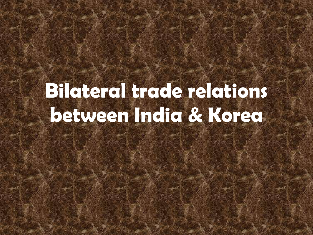# **Bilateral trade relations between India & Korea**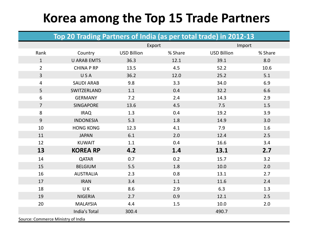### **Korea among the Top 15 Trade Partners**

| Top 20 Trading Partners of India (as per total trade) in 2012-13 |  |
|------------------------------------------------------------------|--|
|------------------------------------------------------------------|--|

|                                    |                    | Export             |         | Import             |         |
|------------------------------------|--------------------|--------------------|---------|--------------------|---------|
| Rank                               | Country            | <b>USD Billion</b> | % Share | <b>USD Billion</b> | % Share |
| $\mathbf{1}$                       | <b>U ARAB EMTS</b> | 36.3               | 12.1    | 39.1               | 8.0     |
| $\overline{2}$                     | <b>CHINA P RP</b>  | 13.5               | 4.5     | 52.2               | 10.6    |
| 3                                  | USA                | 36.2               | 12.0    | 25.2               | 5.1     |
| 4                                  | <b>SAUDI ARAB</b>  | 9.8                | 3.3     | 34.0               | 6.9     |
| 5                                  | SWITZERLAND        | 1.1                | 0.4     | 32.2               | 6.6     |
| 6                                  | <b>GERMANY</b>     | 7.2                | 2.4     | 14.3               | 2.9     |
| $\overline{7}$                     | <b>SINGAPORE</b>   | 13.6               | 4.5     | 7.5                | 1.5     |
| 8                                  | <b>IRAQ</b>        | 1.3                | 0.4     | 19.2               | 3.9     |
| $\overline{9}$                     | <b>INDONESIA</b>   | 5.3                | 1.8     | 14.9               | 3.0     |
| 10                                 | <b>HONG KONG</b>   | 12.3               | 4.1     | 7.9                | 1.6     |
| 11                                 | <b>JAPAN</b>       | 6.1                | 2.0     | 12.4               | 2.5     |
| 12                                 | <b>KUWAIT</b>      | 1.1                | 0.4     | 16.6               | 3.4     |
| 13                                 | <b>KOREA RP</b>    | 4.2                | 1.4     | 13.1               | 2.7     |
| 14                                 | <b>QATAR</b>       | 0.7                | 0.2     | 15.7               | 3.2     |
| 15                                 | <b>BELGIUM</b>     | 5.5                | 1.8     | 10.0               | 2.0     |
| 16                                 | <b>AUSTRALIA</b>   | 2.3                | 0.8     | 13.1               | 2.7     |
| 17                                 | <b>IRAN</b>        | 3.4                | 1.1     | 11.6               | 2.4     |
| 18                                 | UK                 | 8.6                | 2.9     | 6.3                | 1.3     |
| 19                                 | <b>NIGERIA</b>     | 2.7                | 0.9     | 12.1               | 2.5     |
| 20                                 | <b>MALAYSIA</b>    | 4.4                | 1.5     | 10.0               | 2.0     |
|                                    | India's Total      | 300.4              |         | 490.7              |         |
| Source: Commerce Ministry of India |                    |                    |         |                    |         |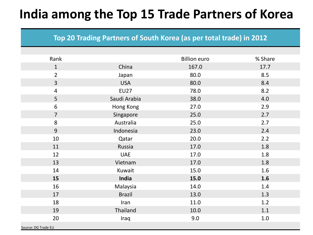### **India among the Top 15 Trade Partners of Korea**

#### **Top 20 Trading Partners of South Korea (as per total trade) in 2012**

| Rank                     |               | <b>Billion euro</b> | % Share |
|--------------------------|---------------|---------------------|---------|
| $\mathbf{1}$             | China         | 167.0               | 17.7    |
| $\overline{2}$           | Japan         | 80.0                | 8.5     |
| $\overline{3}$           | <b>USA</b>    | 80.0                | 8.4     |
| $\overline{\mathcal{A}}$ | <b>EU27</b>   | 78.0                | 8.2     |
| 5                        | Saudi Arabia  | 38.0                | 4.0     |
| 6                        | Hong Kong     | 27.0                | 2.9     |
| $\overline{7}$           | Singapore     | 25.0                | 2.7     |
| 8                        | Australia     | 25.0                | 2.7     |
| 9                        | Indonesia     | 23.0                | 2.4     |
| 10                       | Qatar         | 20.0                | 2.2     |
| 11                       | Russia        | 17.0                | 1.8     |
| 12                       | <b>UAE</b>    | 17.0                | 1.8     |
| 13                       | Vietnam       | 17.0                | 1.8     |
| 14                       | Kuwait        | 15.0                | 1.6     |
| 15                       | India         | 15.0                | 1.6     |
| 16                       | Malaysia      | 14.0                | 1.4     |
| 17                       | <b>Brazil</b> | 13.0                | 1.3     |
| 18                       | Iran          | 11.0                | 1.2     |
| 19                       | Thailand      | 10.0                | 1.1     |
| 20                       | Iraq          | 9.0                 | 1.0     |
| Source: DG Trade EU      |               |                     |         |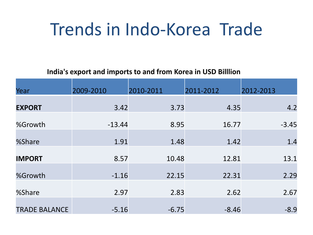# Trends in Indo-Korea Trade

#### **India's export and imports to and from Korea in USD Billlion**

| Year                 | 2009-2010 | 2010-2011 | 2011-2012 | 2012-2013 |
|----------------------|-----------|-----------|-----------|-----------|
| <b>EXPORT</b>        | 3.42      | 3.73      | 4.35      | 4.2       |
| %Growth              | $-13.44$  | 8.95      | 16.77     | $-3.45$   |
| %Share               | 1.91      | 1.48      | 1.42      | 1.4       |
| <b>IMPORT</b>        | 8.57      | 10.48     | 12.81     | 13.1      |
|                      |           |           |           |           |
| %Growth              | $-1.16$   | 22.15     | 22.31     | 2.29      |
| %Share               | 2.97      | 2.83      | 2.62      | 2.67      |
| <b>TRADE BALANCE</b> | $-5.16$   | $-6.75$   | $-8.46$   | $-8.9$    |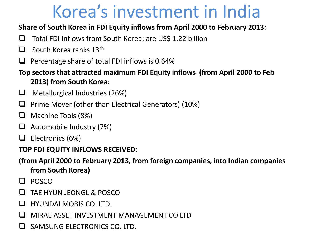# Korea's investment in India

#### **Share of South Korea in FDI Equity inflows from April 2000 to February 2013:**

- $\Box$  Total FDI Inflows from South Korea: are US\$ 1.22 billion
- $\Box$  South Korea ranks 13<sup>th</sup>
- Percentage share of total FDI inflows is 0.64%
- **Top sectors that attracted maximum FDI Equity inflows (from April 2000 to Feb 2013) from South Korea:**
- $\Box$  Metallurgical Industries (26%)
- $\Box$  Prime Mover (other than Electrical Generators) (10%)
- $\Box$  Machine Tools (8%)
- Automobile Industry (7%)
- $\Box$  Electronics (6%)

### **TOP FDI EQUITY INFLOWS RECEIVED:**

- **(from April 2000 to February 2013, from foreign companies, into Indian companies from South Korea)**
- **Q** POSCO
- TAE HYUN JEONGL & POSCO
- HYUNDAI MOBIS CO. LTD.
- MIRAE ASSET INVESTMENT MANAGEMENT CO LTD
- SAMSUNG ELECTRONICS CO. LTD.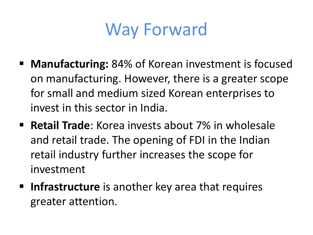

- Manufacturing: 84% of Korean investment is focused on manufacturing. However, there is a greater scope for small and medium sized Korean enterprises to invest in this sector in India.
- **Retail Trade**: Korea invests about 7% in wholesale and retail trade. The opening of FDI in the Indian retail industry further increases the scope for investment
- **Infrastructure** is another key area that requires greater attention.